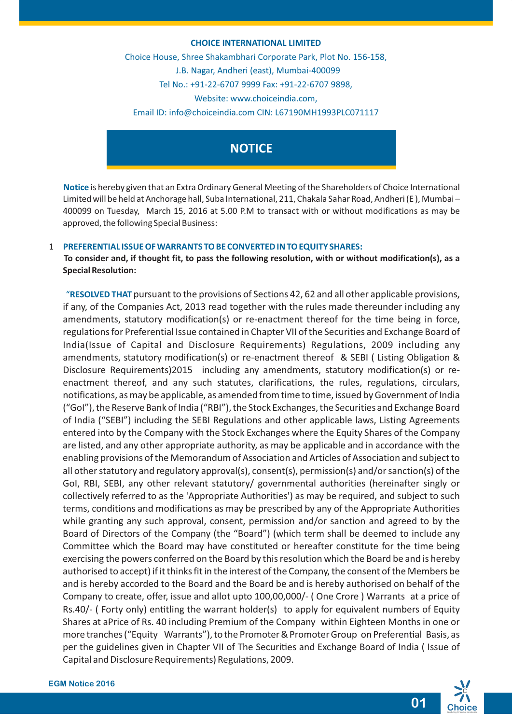#### **CHOICE INTERNATIONAL LIMITED**

Choice House, Shree Shakambhari Corporate Park, Plot No. 156-158, J.B. Nagar, Andheri (east), Mumbai-400099 Tel No.: +91-22-6707 9999 Fax: +91-22-6707 9898, Website: www.choiceindia.com, Email ID: info@choiceindia.com CIN: L67190MH1993PLC071117



**Notice** is hereby given that an Extra Ordinary General Meeting of the Shareholders of Choice International Limited will be held at Anchorage hall, Suba International, 211, Chakala Sahar Road, Andheri (E ), Mumbai – 400099 on Tuesday, March 15, 2016 at 5.00 P.M to transact with or without modifications as may be approved, the following Special Business:

#### 1 **PREFERENTIAL ISSUE OF WARRANTS TO BE CONVERTED IN TO EQUITY SHARES:**

**To consider and, if thought fit, to pass the following resolution, with or without modification(s), as a Special Resolution:**

"**RESOLVED THAT** pursuant to the provisions of Sections 42, 62 and all other applicable provisions, if any, of the Companies Act, 2013 read together with the rules made thereunder including any amendments, statutory modification(s) or re-enactment thereof for the time being in force, regulations for Preferential Issue contained in Chapter VII of the Securities and Exchange Board of India(Issue of Capital and Disclosure Requirements) Regulations, 2009 including any amendments, statutory modification(s) or re-enactment thereof & SEBI ( Listing Obligation & Disclosure Requirements)2015 including any amendments, statutory modification(s) or reenactment thereof, and any such statutes, clarifications, the rules, regulations, circulars, notifications, as may be applicable, as amended from time to time, issued by Government of India ("GoI"), the Reserve Bank of India ("RBI"), the Stock Exchanges, the Securities and Exchange Board of India ("SEBI") including the SEBI Regulations and other applicable laws, Listing Agreements entered into by the Company with the Stock Exchanges where the Equity Shares of the Company are listed, and any other appropriate authority, as may be applicable and in accordance with the enabling provisions of the Memorandum of Association and Articles of Association and subject to all other statutory and regulatory approval(s), consent(s), permission(s) and/or sanction(s) of the GoI, RBI, SEBI, any other relevant statutory/ governmental authorities (hereinafter singly or collectively referred to as the 'Appropriate Authorities') as may be required, and subject to such terms, conditions and modifications as may be prescribed by any of the Appropriate Authorities while granting any such approval, consent, permission and/or sanction and agreed to by the Board of Directors of the Company (the "Board") (which term shall be deemed to include any Committee which the Board may have constituted or hereafter constitute for the time being exercising the powers conferred on the Board by this resolution which the Board be and is hereby authorised to accept) if it thinks fit in the interest of the Company, the consent of the Members be and is hereby accorded to the Board and the Board be and is hereby authorised on behalf of the Company to create, offer, issue and allot upto 100,00,000/- ( One Crore ) Warrants at a price of Rs.40/- (Forty only) entitling the warrant holder(s) to apply for equivalent numbers of Equity Shares at aPrice of Rs. 40 including Premium of the Company within Eighteen Months in one or more tranches ("Equity Warrants"), to the Promoter & Promoter Group on Preferential Basis, as per the guidelines given in Chapter VII of The Securities and Exchange Board of India ( Issue of Capital and Disclosure Requirements) Regulations, 2009.



**01**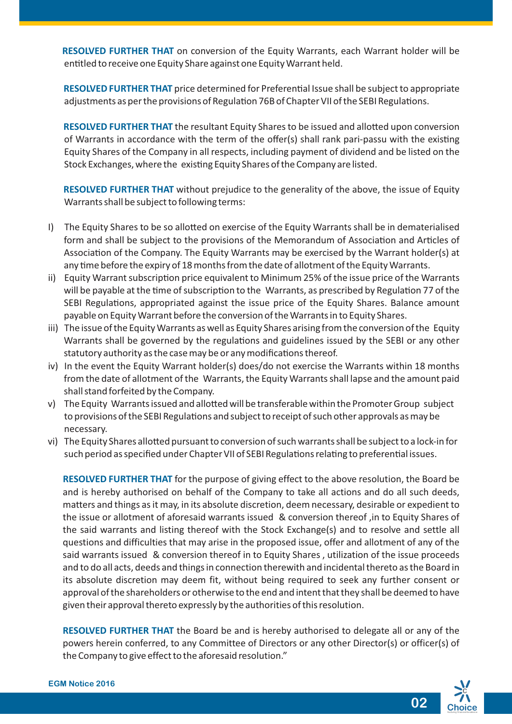**RESOLVED FURTHER THAT** on conversion of the Equity Warrants, each Warrant holder will be entitled to receive one Equity Share against one Equity Warrant held.

**RESOLVED FURTHER THAT** price determined for Preferential Issue shall be subject to appropriate adjustments as per the provisions of Regulation 76B of Chapter VII of the SEBI Regulations.

**RESOLVED FURTHER THAT** the resultant Equity Shares to be issued and allotted upon conversion of Warrants in accordance with the term of the offer(s) shall rank pari-passu with the existing Equity Shares of the Company in all respects, including payment of dividend and be listed on the Stock Exchanges, where the existing Equity Shares of the Company are listed.

**RESOLVED FURTHER THAT** without prejudice to the generality of the above, the issue of Equity Warrants shall be subject to following terms:

- I) The Equity Shares to be so allotted on exercise of the Equity Warrants shall be in dematerialised form and shall be subject to the provisions of the Memorandum of Association and Articles of Association of the Company. The Equity Warrants may be exercised by the Warrant holder(s) at any time before the expiry of 18 months from the date of allotment of the Equity Warrants.
- ii) Equity Warrant subscription price equivalent to Minimum 25% of the issue price of the Warrants will be payable at the time of subscription to the Warrants, as prescribed by Regulation 77 of the SEBI Regulations, appropriated against the issue price of the Equity Shares. Balance amount payable on Equity Warrant before the conversion of the Warrants in to Equity Shares.
- iii) The issue of the Equity Warrants as well as Equity Shares arising from the conversion of the Equity Warrants shall be governed by the regulations and guidelines issued by the SEBI or any other statutory authority as the case may be or any modifications thereof.
- iv) In the event the Equity Warrant holder(s) does/do not exercise the Warrants within 18 months from the date of allotment of the Warrants, the Equity Warrants shall lapse and the amount paid shall stand forfeited by the Company.
- v) The Equity Warrants issued and allotted will be transferable within the Promoter Group subject to provisions of the SEBI Regulations and subject to receipt of such other approvals as may be necessary.
- vi) The Equity Shares allotted pursuant to conversion of such warrants shall be subject to a lock-in for such period as specified under Chapter VII of SEBI Regulations relating to preferential issues.

**RESOLVED FURTHER THAT** for the purpose of giving effect to the above resolution, the Board be and is hereby authorised on behalf of the Company to take all actions and do all such deeds, matters and things as it may, in its absolute discretion, deem necessary, desirable or expedient to the issue or allotment of aforesaid warrants issued & conversion thereof ,in to Equity Shares of the said warrants and listing thereof with the Stock Exchange(s) and to resolve and settle all questions and difficulties that may arise in the proposed issue, offer and allotment of any of the said warrants issued & conversion thereof in to Equity Shares , utilization of the issue proceeds and to do all acts, deeds and things in connection therewith and incidental thereto as the Board in its absolute discretion may deem fit, without being required to seek any further consent or approval of the shareholders or otherwise to the end and intent that they shall be deemed to have given their approval thereto expressly by the authorities of this resolution.

**RESOLVED FURTHER THAT** the Board be and is hereby authorised to delegate all or any of the powers herein conferred, to any Committee of Directors or any other Director(s) or officer(s) of the Company to give effect to the aforesaid resolution."

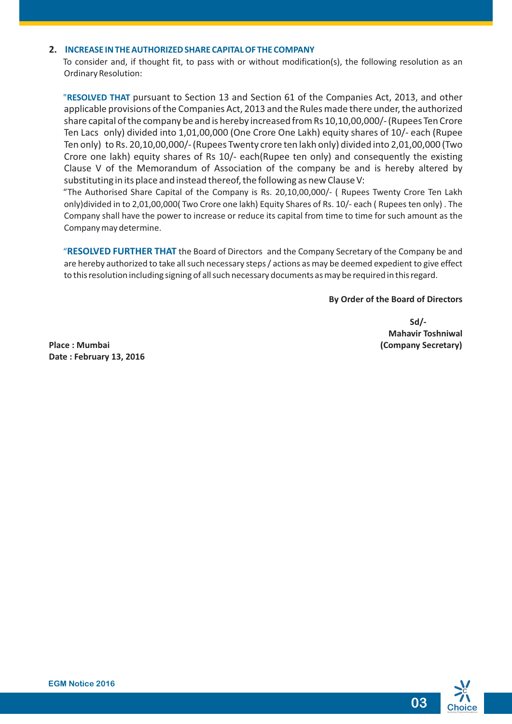#### **2. INCREASE IN THE AUTHORIZED SHARE CAPITAL OF THE COMPANY**

To consider and, if thought fit, to pass with or without modification(s), the following resolution as an Ordinary Resolution:

"**RESOLVED THAT** pursuant to Section 13 and Section 61 of the Companies Act, 2013, and other applicable provisions of the Companies Act, 2013 and the Rules made there under, the authorized share capital of the company be and is hereby increased from Rs 10,10,00,000/- (Rupees Ten Crore Ten Lacs only) divided into 1,01,00,000 (One Crore One Lakh) equity shares of 10/- each (Rupee Ten only) to Rs. 20,10,00,000/- (Rupees Twenty crore ten lakh only) divided into 2,01,00,000 (Two Crore one lakh) equity shares of Rs 10/- each(Rupee ten only) and consequently the existing Clause V of the Memorandum of Association of the company be and is hereby altered by substituting in its place and instead thereof, the following as new Clause V:

"The Authorised Share Capital of the Company is Rs. 20,10,00,000/- ( Rupees Twenty Crore Ten Lakh only)divided in to 2,01,00,000( Two Crore one lakh) Equity Shares of Rs. 10/- each ( Rupees ten only) . The Company shall have the power to increase or reduce its capital from time to time for such amount as the Company may determine.

"**RESOLVED FURTHER THAT** the Board of Directors and the Company Secretary of the Company be and are hereby authorized to take all such necessary steps / actions as may be deemed expedient to give effect to this resolution including signing of all such necessary documents as may be required in this regard.

#### **By Order of the Board of Directors**

**Sd/-Mahavir Toshniwal**

**Place : Mumbai (Company Secretary) Date : February 13, 2016**

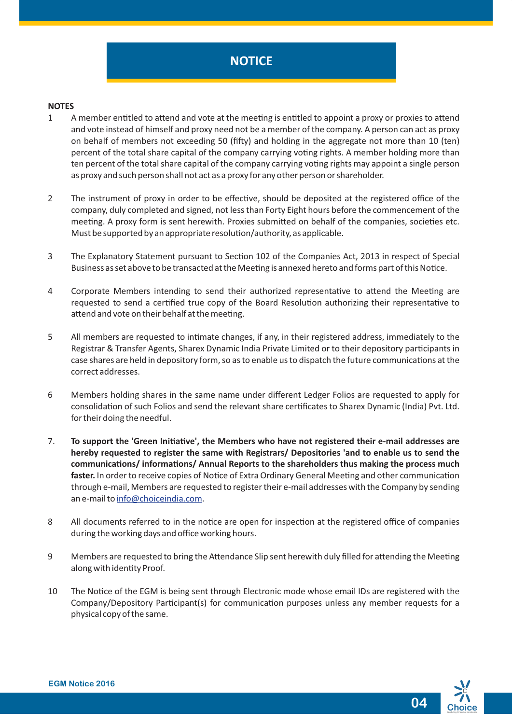#### **NOTES**

- 1 A member entitled to attend and vote at the meeting is entitled to appoint a proxy or proxies to attend and vote instead of himself and proxy need not be a member of the company. A person can act as proxy on behalf of members not exceeding 50 (fifty) and holding in the aggregate not more than 10 (ten) percent of the total share capital of the company carrying voting rights. A member holding more than ten percent of the total share capital of the company carrying voting rights may appoint a single person as proxy and such person shall not act as a proxy for any other person or shareholder.
- 2 The instrument of proxy in order to be effective, should be deposited at the registered office of the company, duly completed and signed, not less than Forty Eight hours before the commencement of the meeting. A proxy form is sent herewith. Proxies submitted on behalf of the companies, societies etc. Must be supported by an appropriate resolution/authority, as applicable.
- 3 The Explanatory Statement pursuant to Section 102 of the Companies Act, 2013 in respect of Special Business as set above to be transacted at the Meeting is annexed hereto and forms part of this Notice.
- 4 Corporate Members intending to send their authorized representative to attend the Meeting are requested to send a certified true copy of the Board Resolution authorizing their representative to attend and vote on their behalf at the meeting.
- 5 All members are requested to intimate changes, if any, in their registered address, immediately to the Registrar & Transfer Agents, Sharex Dynamic India Private Limited or to their depository participants in case shares are held in depository form, so as to enable us to dispatch the future communications at the correct addresses.
- 6 Members holding shares in the same name under different Ledger Folios are requested to apply for consolidation of such Folios and send the relevant share certificates to Sharex Dynamic (India) Pvt. Ltd. for their doing the needful.
- 7. **To support the 'Green Iniave', the Members who have not registered their e-mail addresses are hereby requested to register the same with Registrars/ Depositories 'and to enable us to send the**  communications/ informations/ Annual Reports to the shareholders thus making the process much faster. In order to receive copies of Notice of Extra Ordinary General Meeting and other communication through e-mail, Members are requested to register their e-mail addresses with the Company by sending an e-mail to [info@choiceindia.com](mailto:info@choiceindia.com).
- 8 All documents referred to in the notice are open for inspection at the registered office of companies during the working days and office working hours.
- 9 Members are requested to bring the Attendance Slip sent herewith duly filled for attending the Meeting along with identity Proof.
- 10 The Notice of the EGM is being sent through Electronic mode whose email IDs are registered with the Company/Depository Participant(s) for communication purposes unless any member requests for a physical copy of the same.

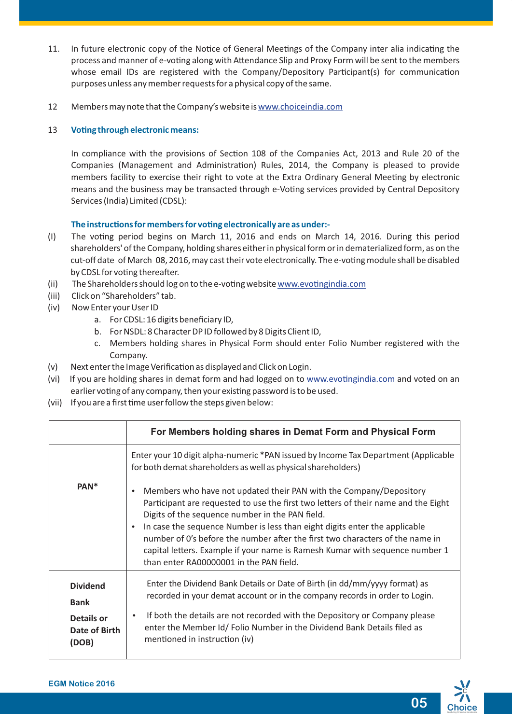- 11. In future electronic copy of the Notice of General Meetings of the Company inter alia indicating the process and manner of e-voting along with Attendance Slip and Proxy Form will be sent to the members whose email IDs are registered with the Company/Depository Participant(s) for communication purposes unless any member requests for a physical copy of the same.
- 12 Members may note that the Company's website is [www.choiceindia.com](http://www.choiceindia.com)

#### 13 Voting through electronic means:

In compliance with the provisions of Section 108 of the Companies Act, 2013 and Rule 20 of the Companies (Management and Administration) Rules, 2014, the Company is pleased to provide members facility to exercise their right to vote at the Extra Ordinary General Meeting by electronic means and the business may be transacted through e-Voting services provided by Central Depository Services (India) Limited (CDSL):

#### The instructions for members for voting electronically are as under:-

- (I) The vong period begins on March 11, 2016 and ends on March 14, 2016. During this period shareholders' of the Company, holding shares either in physical form or in dematerialized form, as on the cut-off date of March 08, 2016, may cast their vote electronically. The e-voting module shall be disabled by CDSL for voting thereafter.
- (ii) The Shareholders should log on to the e-voting website www.evotingindia.com
- (iii) Click on "Shareholders" tab.
- (iv) Now Enter your User ID
	- a. For CDSL: 16 digits beneficiary ID,
	- b. For NSDL: 8 Character DP ID followed by 8 Digits Client ID,
	- c. Members holding shares in Physical Form should enter Folio Number registered with the Company.
- (v) Next enter the Image Verification as displayed and Click on Login.
- (vi) If you are holding shares in demat form and had logged on to www.evotingindia.com and voted on an earlier voting of any company, then your existing password is to be used.
- (vii) If you are a first time user follow the steps given below:

|                                                                        | For Members holding shares in Demat Form and Physical Form                                                                                                                                                                                                                                                                                                                                                                                                                                                                      |  |  |
|------------------------------------------------------------------------|---------------------------------------------------------------------------------------------------------------------------------------------------------------------------------------------------------------------------------------------------------------------------------------------------------------------------------------------------------------------------------------------------------------------------------------------------------------------------------------------------------------------------------|--|--|
|                                                                        | Enter your 10 digit alpha-numeric *PAN issued by Income Tax Department (Applicable<br>for both demat shareholders as well as physical shareholders)                                                                                                                                                                                                                                                                                                                                                                             |  |  |
| PAN <sup>*</sup>                                                       | Members who have not updated their PAN with the Company/Depository<br>$\bullet$<br>Participant are requested to use the first two letters of their name and the Eight<br>Digits of the sequence number in the PAN field.<br>In case the sequence Number is less than eight digits enter the applicable<br>$\bullet$<br>number of 0's before the number after the first two characters of the name in<br>capital letters. Example if your name is Ramesh Kumar with sequence number 1<br>than enter RA00000001 in the PAN field. |  |  |
| <b>Dividend</b><br><b>Bank</b><br>Details or<br>Date of Birth<br>(DOB) | Enter the Dividend Bank Details or Date of Birth (in dd/mm/yyyy format) as<br>recorded in your demat account or in the company records in order to Login.<br>If both the details are not recorded with the Depository or Company please<br>$\bullet$<br>enter the Member Id/ Folio Number in the Dividend Bank Details filed as<br>mentioned in instruction (iv)                                                                                                                                                                |  |  |

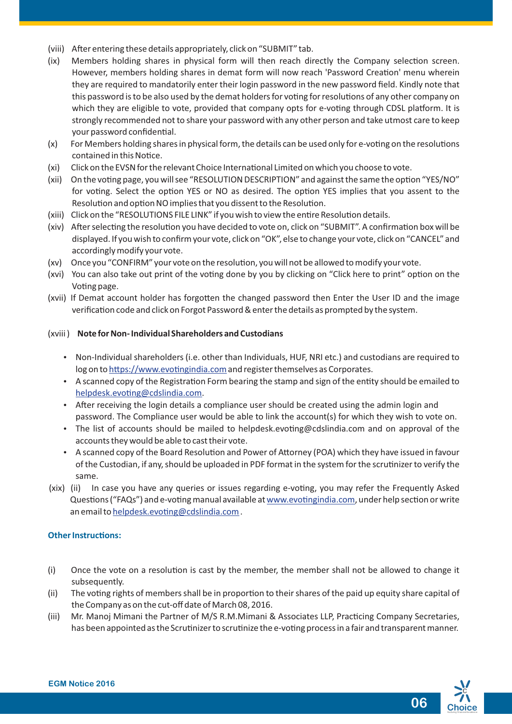- (viii) After entering these details appropriately, click on "SUBMIT" tab.
- (ix) Members holding shares in physical form will then reach directly the Company selection screen. However, members holding shares in demat form will now reach 'Password Creation' menu wherein they are required to mandatorily enter their login password in the new password field. Kindly note that this password is to be also used by the demat holders for voting for resolutions of any other company on which they are eligible to vote, provided that company opts for e-voting through CDSL platform. It is strongly recommended not to share your password with any other person and take utmost care to keep your password confidential.
- (x) For Members holding shares in physical form, the details can be used only for e-voting on the resolutions contained in this Notice.
- (xi) Click on the EVSN for the relevant Choice International Limited on which you choose to vote.
- (xii) On the voting page, you will see "RESOLUTION DESCRIPTION" and against the same the option "YES/NO" for voting. Select the option YES or NO as desired. The option YES implies that you assent to the Resolution and option NO implies that you dissent to the Resolution.
- (xiii) Click on the "RESOLUTIONS FILE LINK" if you wish to view the entire Resolution details.
- (xiv) After selecting the resolution you have decided to vote on, click on "SUBMIT". A confirmation box will be displayed. If you wish to confirm your vote, click on "OK", else to change your vote, click on "CANCEL" and accordingly modify your vote.
- (xv) Once you "CONFIRM" your vote on the resolution, you will not be allowed to modify your vote.
- (xvi) You can also take out print of the voting done by you by clicking on "Click here to print" option on the Voting page.
- (xvii) If Demat account holder has forgotten the changed password then Enter the User ID and the image verification code and click on Forgot Password & enter the details as prompted by the system.

#### (xviii ) **Note for Non- Individual Shareholders and Custodians**

- Non-Individual shareholders (i.e. other than Individuals, HUF, NRI etc.) and custodians are required to log on to https://www.evotingindia.com and register themselves as Corporates.
- A scanned copy of the Registration Form bearing the stamp and sign of the entity should be emailed to helpdesk.evoting@cdslindia.com.
- After receiving the login details a compliance user should be created using the admin login and password. The Compliance user would be able to link the account(s) for which they wish to vote on.
- The list of accounts should be mailed to helpdesk.evoting@cdslindia.com and on approval of the accounts they would be able to cast their vote.
- A scanned copy of the Board Resolution and Power of Attorney (POA) which they have issued in favour of the Custodian, if any, should be uploaded in PDF format in the system for the scrunizer to verify the same.
- (xix) (ii) In case you have any queries or issues regarding e-voting, you may refer the Frequently Asked Questions ("FAQs") and e-voting manual available at www.evotingindia.com, under help section or write an email to helpdesk.evoting@cdslindia.com.

#### **Other Instructions:**

- $(i)$  Once the vote on a resolution is cast by the member, the member shall not be allowed to change it subsequently.
- (ii) The voting rights of members shall be in proportion to their shares of the paid up equity share capital of the Company as on the cut-off date of March 08, 2016.
- (iii) Mr. Manoj Mimani the Partner of M/S R.M.Mimani & Associates LLP, Practicing Company Secretaries, has been appointed as the Scrutinizer to scrutinize the e-voting process in a fair and transparent manner.

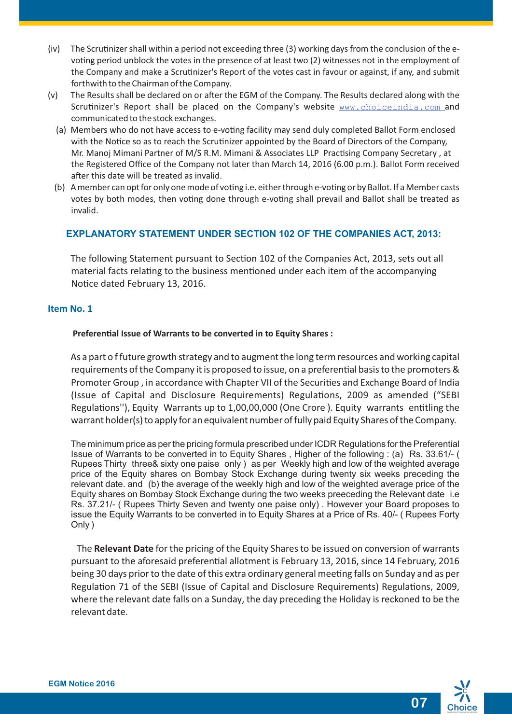- (iv) The Scrutinizer shall within a period not exceeding three  $(3)$  working days from the conclusion of the evoting period unblock the votes in the presence of at least two (2) witnesses not in the employment of the Company and make a Scrutinizer's Report of the votes cast in favour or against, if any, and submit forthwith to the Chairman of the Company.
- (v) The Results shall be declared on or after the EGM of the Company. The Results declared along with the Scrutinizer's Report shall be placed on the Company's website [www.choiceindia.com](http://www.choiceindia.com) and communicated to the stock exchanges.
	- (a) Members who do not have access to e-voting facility may send duly completed Ballot Form enclosed with the Notice so as to reach the Scrutinizer appointed by the Board of Directors of the Company, Mr. Manoj Mimani Partner of M/S R.M. Mimani & Associates LLP Practising Company Secretary, at the Registered Office of the Company not later than March 14, 2016 (6.00 p.m.). Ballot Form received after this date will be treated as invalid.
	- (b) A member can opt for only one mode of voting i.e. either through e-voting or by Ballot. If a Member casts votes by both modes, then voting done through e-voting shall prevail and Ballot shall be treated as invalid.

# **EXPLANATORY STATEMENT UNDER SECTION 102 OF THE COMPANIES ACT, 2013:**

The following Statement pursuant to Section 102 of the Companies Act, 2013, sets out all material facts relating to the business mentioned under each item of the accompanying Notice dated February 13, 2016.

# **Item No. 1**

#### **Preferential Issue of Warrants to be converted in to Equity Shares :**

As a part o f future growth strategy and to augment the long term resources and working capital requirements of the Company it is proposed to issue, on a preferential basis to the promoters & Promoter Group, in accordance with Chapter VII of the Securities and Exchange Board of India (Issue of Capital and Disclosure Requirements) Regulations, 2009 as amended ("SEBI Regulations''), Equity Warrants up to 1,00,00,000 (One Crore ). Equity warrants entitling the warrant holder(s) to apply for an equivalent number of fully paid Equity Shares of the Company.

The minimum price as per the pricing formula prescribed under ICDR Regulations for the Preferential Issue of Warrants to be converted in to Equity Shares , Higher of the following : (a) Rs. 33.61/- ( Rupees Thirty three& sixty one paise only ) as per Weekly high and low of the weighted average price of the Equity shares on Bombay Stock Exchange during twenty six weeks preceding the relevant date. and (b) the average of the weekly high and low of the weighted average price of the Equity shares on Bombay Stock Exchange during the two weeks preeceding the Relevant date i.e Rs. 37.21/- ( Rupees Thirty Seven and twenty one paise only) . However your Board proposes to issue the Equity Warrants to be converted in to Equity Shares at a Price of Rs. 40/- ( Rupees Forty Only )

The **Relevant Date** for the pricing of the Equity Shares to be issued on conversion of warrants pursuant to the aforesaid preferential allotment is February 13, 2016, since 14 February, 2016 being 30 days prior to the date of this extra ordinary general meeting falls on Sunday and as per Regulation 71 of the SEBI (Issue of Capital and Disclosure Requirements) Regulations, 2009, where the relevant date falls on a Sunday, the day preceding the Holiday is reckoned to be the relevant date.

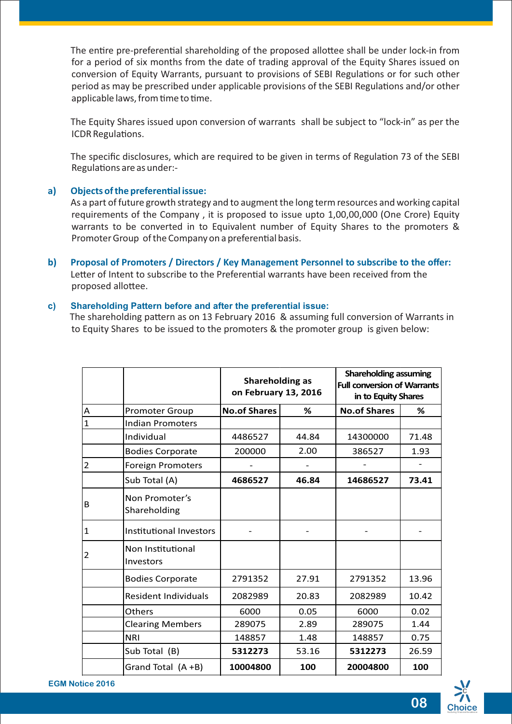The entire pre-preferential shareholding of the proposed allottee shall be under lock-in from for a period of six months from the date of trading approval of the Equity Shares issued on conversion of Equity Warrants, pursuant to provisions of SEBI Regulations or for such other period as may be prescribed under applicable provisions of the SEBI Regulations and/or other applicable laws, from time to time.

The Equity Shares issued upon conversion of warrants shall be subject to "lock-in" as per the ICDR Regulations.

The specific disclosures, which are required to be given in terms of Regulation 73 of the SEBI Regulations are as under:-

#### **a)** Objects of the preferential issue:

As a part of future growth strategy and to augment the long term resources and working capital requirements of the Company , it is proposed to issue upto 1,00,00,000 (One Crore) Equity warrants to be converted in to Equivalent number of Equity Shares to the promoters & Promoter Group of the Company on a preferential basis.

**b) Proposal of Promoters / Directors / Key Management Personnel to subscribe to the offer:** Letter of Intent to subscribe to the Preferential warrants have been received from the proposed allottee.

#### **c) Shareholding Pattern before and after the preferential issue:**

The shareholding pattern as on 13 February 2016 & assuming full conversion of Warrants in to Equity Shares to be issued to the promoters & the promoter group is given below:

|                |                                | <b>Shareholding as</b><br>on February 13, 2016 |       | <b>Shareholding assuming</b><br><b>Full conversion of Warrants</b><br>in to Equity Shares |       |
|----------------|--------------------------------|------------------------------------------------|-------|-------------------------------------------------------------------------------------------|-------|
| $\overline{A}$ | <b>Promoter Group</b>          | <b>No.of Shares</b>                            | %     | <b>No.of Shares</b>                                                                       | %     |
| $\overline{1}$ | <b>Indian Promoters</b>        |                                                |       |                                                                                           |       |
|                | Individual                     | 4486527                                        | 44.84 | 14300000                                                                                  | 71.48 |
|                | <b>Bodies Corporate</b>        | 200000                                         | 2.00  | 386527                                                                                    | 1.93  |
| $\overline{2}$ | <b>Foreign Promoters</b>       |                                                |       |                                                                                           |       |
|                | Sub Total (A)                  | 4686527                                        | 46.84 | 14686527                                                                                  | 73.41 |
| B              | Non Promoter's<br>Shareholding |                                                |       |                                                                                           |       |
| $\overline{1}$ | <b>Institutional Investors</b> |                                                |       |                                                                                           |       |
| $\overline{2}$ | Non Institutional<br>Investors |                                                |       |                                                                                           |       |
|                | <b>Bodies Corporate</b>        | 2791352                                        | 27.91 | 2791352                                                                                   | 13.96 |
|                | <b>Resident Individuals</b>    | 2082989                                        | 20.83 | 2082989                                                                                   | 10.42 |
|                | <b>Others</b>                  | 6000                                           | 0.05  | 6000                                                                                      | 0.02  |
|                | <b>Clearing Members</b>        | 289075                                         | 2.89  | 289075                                                                                    | 1.44  |
|                | <b>NRI</b>                     | 148857                                         | 1.48  | 148857                                                                                    | 0.75  |
|                | Sub Total (B)                  | 5312273                                        | 53.16 | 5312273                                                                                   | 26.59 |
|                | Grand Total (A +B)             | 10004800                                       | 100   | 20004800                                                                                  | 100   |

**EGM Notice 2016**

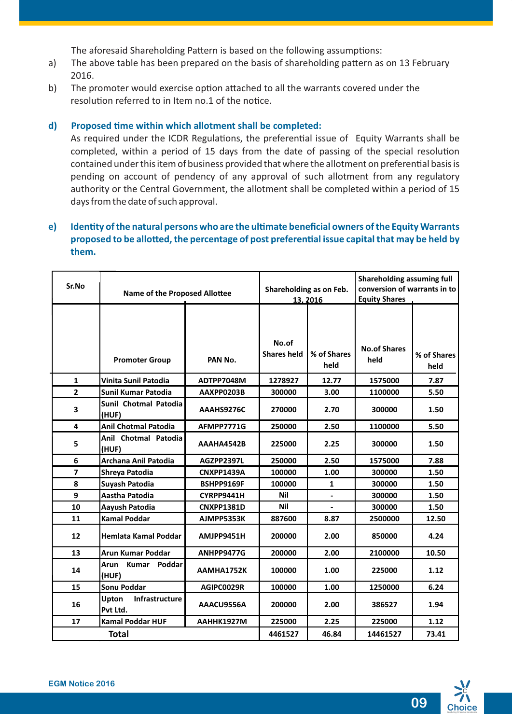The aforesaid Shareholding Pattern is based on the following assumptions:

- a) The above table has been prepared on the basis of shareholding pattern as on 13 February 2016.
- b) The promoter would exercise option attached to all the warrants covered under the resolution referred to in Item no.1 of the notice.

### **d) Proposed me within which allotment shall be completed:**

As required under the ICDR Regulations, the preferential issue of Equity Warrants shall be completed, within a period of 15 days from the date of passing of the special resolution contained under this item of business provided that where the allotment on preferential basis is pending on account of pendency of any approval of such allotment from any regulatory authority or the Central Government, the allotment shall be completed within a period of 15 days from the date of such approval.

# **e)** Identity of the natural persons who are the ultimate beneficial owners of the Equity Warrants proposed to be allotted, the percentage of post preferential issue capital that may be held by **them.**

| Sr.No          | <b>Name of the Proposed Allottee</b> |                   | Shareholding as on Feb.<br>13, 2016 |                     | <b>Shareholding assuming full</b><br>conversion of warrants in to<br><b>Equity Shares</b> |                     |
|----------------|--------------------------------------|-------------------|-------------------------------------|---------------------|-------------------------------------------------------------------------------------------|---------------------|
|                | <b>Promoter Group</b>                | PAN No.           | No.of<br><b>Shares held</b>         | % of Shares<br>held | <b>No.of Shares</b><br>held                                                               | % of Shares<br>held |
| $\mathbf{1}$   | <b>Vinita Sunil Patodia</b>          | ADTPP7048M        | 1278927                             | 12.77               | 1575000                                                                                   | 7.87                |
| $\mathbf{2}$   | Sunil Kumar Patodia                  | AAXPP0203B        | 300000                              | 3.00                | 1100000                                                                                   | 5.50                |
| 3              | Sunil Chotmal Patodia<br>(HUF)       | AAAHS9276C        | 270000                              | 2.70                | 300000                                                                                    | 1.50                |
| 4              | <b>Anil Chotmal Patodia</b>          | AFMPP7771G        | 250000                              | 2.50                | 1100000                                                                                   | 5.50                |
| 5              | Anil Chotmal Patodia<br>(HUF)        | AAAHA4542B        | 225000                              | 2.25                | 300000                                                                                    | 1.50                |
| 6              | Archana Anil Patodia                 | AGZPP2397L        | 250000                              | 2.50                | 1575000                                                                                   | 7.88                |
| $\overline{7}$ | Shreya Patodia                       | CNXPP1439A        | 100000                              | 1.00                | 300000                                                                                    | 1.50                |
| 8              | Suyash Patodia                       | BSHPP9169F        | 100000                              | $\mathbf{1}$        | 300000                                                                                    | 1.50                |
| 9              | Aastha Patodia                       | CYRPP9441H        | <b>Nil</b>                          |                     | 300000                                                                                    | 1.50                |
| 10             | Aayush Patodia                       | <b>CNXPP1381D</b> | <b>Nil</b>                          | ÷                   | 300000                                                                                    | 1.50                |
| 11             | <b>Kamal Poddar</b>                  | AJMPP5353K        | 887600                              | 8.87                | 2500000                                                                                   | 12.50               |
| 12             | Hemlata Kamal Poddar                 | AMJPP9451H        | 200000                              | 2.00                | 850000                                                                                    | 4.24                |
| 13             | <b>Arun Kumar Poddar</b>             | ANHPP9477G        | 200000                              | 2.00                | 2100000                                                                                   | 10.50               |
| 14             | Kumar Poddar<br>Arun<br>(HUF)        | AAMHA1752K        | 100000                              | 1.00                | 225000                                                                                    | 1.12                |
| 15             | <b>Sonu Poddar</b>                   | AGIPC0029R        | 100000                              | 1.00                | 1250000                                                                                   | 6.24                |
| 16             | Upton<br>Infrastructure<br>Pvt Ltd.  | AAACU9556A        | 200000                              | 2.00                | 386527                                                                                    | 1.94                |
| 17             | <b>Kamal Poddar HUF</b>              | <b>AAHHK1927M</b> | 225000                              | 2.25                | 225000                                                                                    | 1.12                |
|                | <b>Total</b>                         |                   | 4461527                             | 46.84               | 14461527                                                                                  | 73.41               |

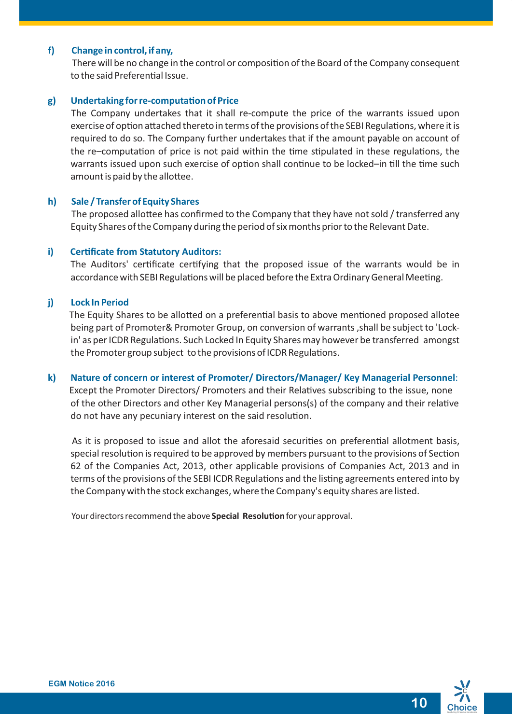#### **f) Change in control, if any,**

There will be no change in the control or composition of the Board of the Company consequent to the said Preferential Issue.

#### **g)** Undertaking for re-computation of Price

The Company undertakes that it shall re-compute the price of the warrants issued upon exercise of option attached thereto in terms of the provisions of the SEBI Regulations, where it is required to do so. The Company further undertakes that if the amount payable on account of the re–computation of price is not paid within the time stipulated in these regulations, the warrants issued upon such exercise of option shall continue to be locked-in till the time such amount is paid by the allottee.

#### **h) Sale / Transfer of Equity Shares**

The proposed allottee has confirmed to the Company that they have not sold / transferred any Equity Shares of the Company during the period of six months prior to the Relevant Date.

#### **i) Cerficate from Statutory Auditors:**

The Auditors' certificate certifying that the proposed issue of the warrants would be in accordance with SEBI Regulations will be placed before the Extra Ordinary General Meeting.

#### **j) Lock In Period**

The Equity Shares to be allotted on a preferential basis to above mentioned proposed allotee being part of Promoter& Promoter Group, on conversion of warrants ,shall be subject to 'Lockin' as per ICDR Regulations. Such Locked In Equity Shares may however be transferred amongst the Promoter group subject to the provisions of ICDR Regulations.

# **k) Nature of concern or interest of Promoter/ Directors/Manager/ Key Managerial Personnel**:

Except the Promoter Directors/ Promoters and their Relatives subscribing to the issue, none of the other Directors and other Key Managerial persons(s) of the company and their relave do not have any pecuniary interest on the said resolution.

As it is proposed to issue and allot the aforesaid securities on preferential allotment basis, special resolution is required to be approved by members pursuant to the provisions of Section 62 of the Companies Act, 2013, other applicable provisions of Companies Act, 2013 and in terms of the provisions of the SEBI ICDR Regulations and the listing agreements entered into by the Company with the stock exchanges, where the Company's equity shares are listed.

Your directors recommend the above **Special Resolution** for your approval.

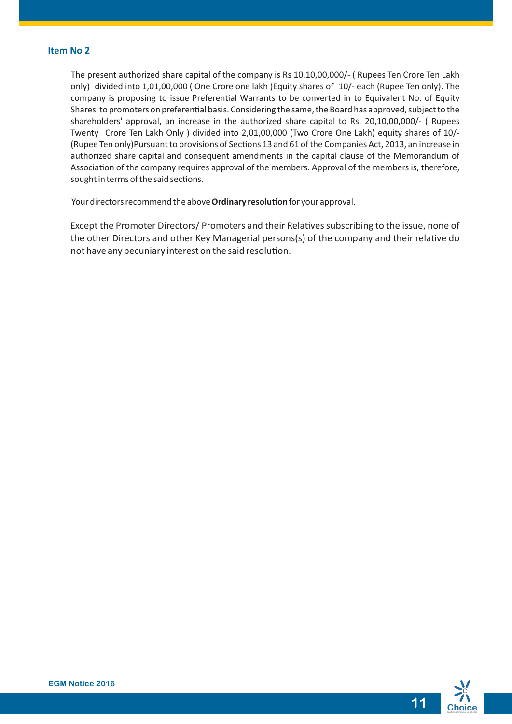#### **Item No 2**

The present authorized share capital of the company is Rs 10,10,00,000/- ( Rupees Ten Crore Ten Lakh only) divided into 1,01,00,000 ( One Crore one lakh )Equity shares of 10/- each (Rupee Ten only). The company is proposing to issue Preferential Warrants to be converted in to Equivalent No. of Equity Shares to promoters on preferential basis. Considering the same, the Board has approved, subject to the shareholders' approval, an increase in the authorized share capital to Rs. 20,10,00,000/- ( Rupees Twenty Crore Ten Lakh Only ) divided into 2,01,00,000 (Two Crore One Lakh) equity shares of 10/- (Rupee Ten only)Pursuant to provisions of Sections 13 and 61 of the Companies Act, 2013, an increase in authorized share capital and consequent amendments in the capital clause of the Memorandum of Association of the company requires approval of the members. Approval of the members is, therefore, sought in terms of the said sections.

Your directors recommend the above **Ordinary resolution** for your approval.

Except the Promoter Directors/ Promoters and their Relatives subscribing to the issue, none of the other Directors and other Key Managerial persons(s) of the company and their relative do not have any pecuniary interest on the said resolution.

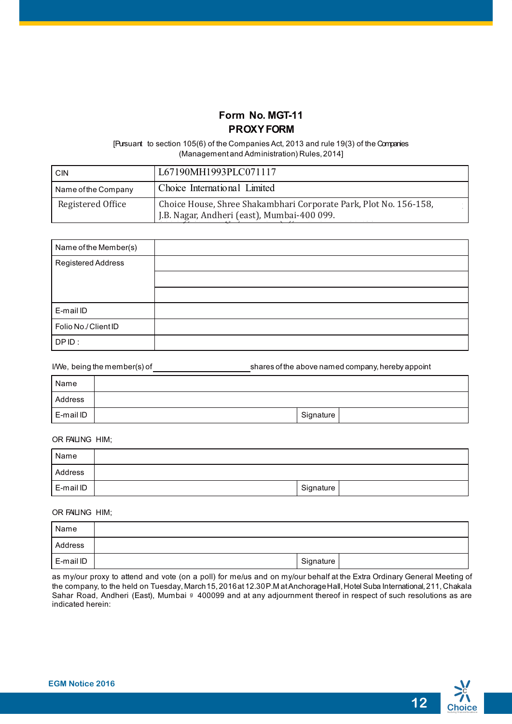# **Form No. MGT-11 PROXYFORM**

[Pursuant to section 105(6) of the Companies Act, 2013 and rule 19(3) of the Companies (Managementand Administration) Rules,2014]

| <b>CIN</b>          | L67190MH1993PLC071117                                                                                            |
|---------------------|------------------------------------------------------------------------------------------------------------------|
| Name of the Company | Choice International Limited                                                                                     |
| Registered Office   | Choice House, Shree Shakambhari Corporate Park, Plot No. 156-158,<br>J.B. Nagar, Andheri (east), Mumbai-400 099. |

| Name of the Member(s) |  |
|-----------------------|--|
| Registered Address    |  |
|                       |  |
|                       |  |
| E-mail ID             |  |
| Folio No./Client ID   |  |
| DPID:                 |  |

 $I/We, being the member(s) of   
 \underline{\hspace{1cm}}$  shares of the above named company, hereby appoint

| Name      |           |  |
|-----------|-----------|--|
| Address   |           |  |
| E-mail ID | Signature |  |

#### OR FAILING HIM;

| Name      |           |  |
|-----------|-----------|--|
| Address   |           |  |
| E-mail ID | Signature |  |

#### OR FAILING HIM;

| Name      |           |  |
|-----------|-----------|--|
| Address   |           |  |
| E-mail ID | Signature |  |

as my/our proxy to attend and vote (on a poll) for me/us and on my/our behalf at the Extra Ordinary General Meeting of the company, to the held on Tuesday, March 15, 2016at 12.30 P.M at Anchorage Hall, Hotel Suba International, 211, Chakala Sahar Road, Andheri (East), Mumbai <sup>g</sup> 400099 and at any adjournment thereof in respect of such resolutions as are indicated herein:

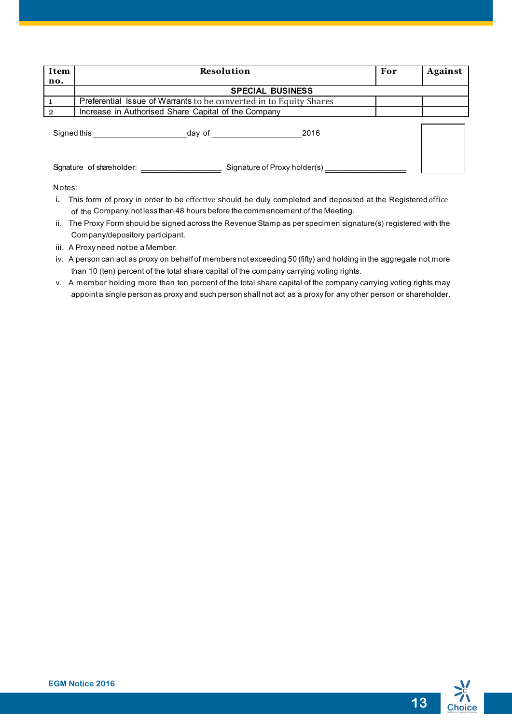| Item        | <b>Resolution</b>                                                  | For | Against |
|-------------|--------------------------------------------------------------------|-----|---------|
| no.         |                                                                    |     |         |
|             | <b>SPECIAL BUSINESS</b>                                            |     |         |
|             | Preferential Issue of Warrants to be converted in to Equity Shares |     |         |
| $\Omega$    | Increase in Authorised Share Capital of the Company                |     |         |
| Signed this | 2016<br>day of                                                     |     |         |
|             | Signature of Proxy holder(s) ______<br>Signature of shareholder:   |     |         |

Notes:

- i. This form of proxy in order to be effective should be duly completed and deposited at the Registered office of the Company, not less than 48 hours before the commencement of the Meeting.
- ii. The Proxy Form should be signed across the Revenue Stamp as per specimen signature(s) registered with the Company/depository participant.
- iii. A Proxy need not be a Member.
- iv. A person can act as proxy on behalf of members not exceeding 50 (fifty) and holding in the aggregate not more than 10 (ten) percent of the total share capital of the company carrying voting rights.
- v. A member holding more than ten percent of the total share capital of the company carrying voting rights may appoint a single person as proxy and such person shall not act as a proxy for any other person or shareholder.

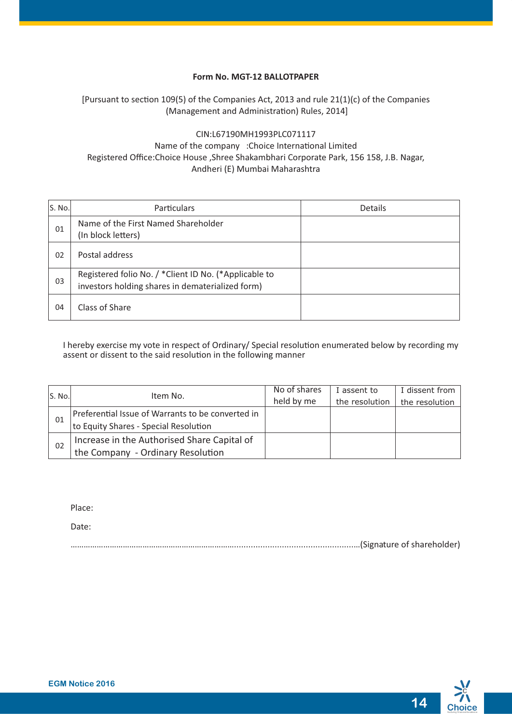#### **Form No. MGT-12 BALLOTPAPER**

# [Pursuant to section 109(5) of the Companies Act, 2013 and rule  $21(1)(c)$  of the Companies (Management and Administration) Rules, 2014]

# CIN : L67190MH1993PLC071117 Name of the company : Choice International Limited Registered Office: Choice House, Shree Shakambhari Corporate Park, 156 158, J.B. Nagar, Andheri (E) Mumbai Maharashtra

| S. No. | <b>Particulars</b>                                                                                        | Details |
|--------|-----------------------------------------------------------------------------------------------------------|---------|
| 01     | Name of the First Named Shareholder<br>(In block letters)                                                 |         |
| 02     | Postal address                                                                                            |         |
| 03     | Registered folio No. / *Client ID No. (*Applicable to<br>investors holding shares in dematerialized form) |         |
| 04     | Class of Share                                                                                            |         |

I hereby exercise my vote in respect of Ordinary/ Special resolution enumerated below by recording my assent or dissent to the said resolution in the following manner

| S. No. | Item No.                                          | No of shares | I assent to    | I dissent from |
|--------|---------------------------------------------------|--------------|----------------|----------------|
|        |                                                   | held by me   | the resolution | the resolution |
|        | Preferential Issue of Warrants to be converted in |              |                |                |
| 01     | to Equity Shares - Special Resolution             |              |                |                |
| 02     | Increase in the Authorised Share Capital of       |              |                |                |
|        | the Company - Ordinary Resolution                 |              |                |                |

Place:

Date:

…………………………………………………………………..................................................…(Signature of shareholder)